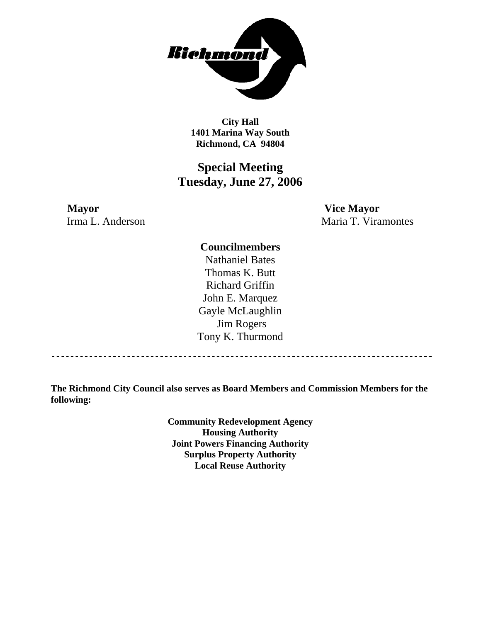

**City Hall 1401 Marina Way South Richmond, CA 94804** 

# **Special Meeting Tuesday, June 27, 2006**

**Mayor Vice Mayor** Irma L. Anderson Maria T. Viramontes

## **Councilmembers**

Nathaniel Bates Thomas K. Butt Richard Griffin John E. Marquez Gayle McLaughlin Jim Rogers Tony K. Thurmond

**The Richmond City Council also serves as Board Members and Commission Members for the following:** 

> **Community Redevelopment Agency Housing Authority Joint Powers Financing Authority Surplus Property Authority Local Reuse Authority**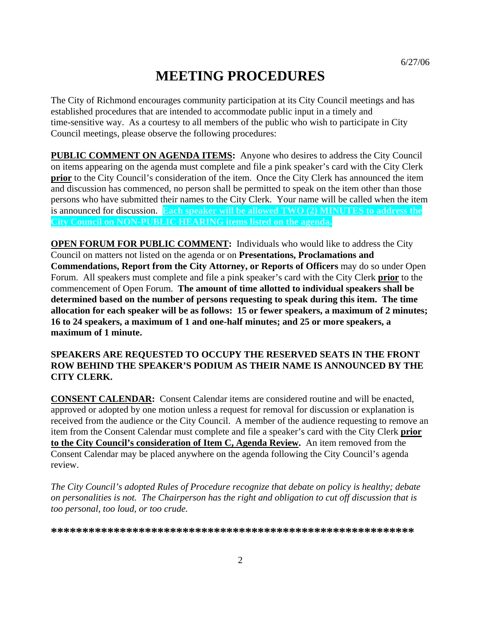# **MEETING PROCEDURES**

The City of Richmond encourages community participation at its City Council meetings and has established procedures that are intended to accommodate public input in a timely and time-sensitive way. As a courtesy to all members of the public who wish to participate in City Council meetings, please observe the following procedures:

**PUBLIC COMMENT ON AGENDA ITEMS:** Anyone who desires to address the City Council on items appearing on the agenda must complete and file a pink speaker's card with the City Clerk **prior** to the City Council's consideration of the item. Once the City Clerk has announced the item and discussion has commenced, no person shall be permitted to speak on the item other than those persons who have submitted their names to the City Clerk. Your name will be called when the item is announced for discussion. **Each speaker will be allowed TWO (2) MINUTES to address the City Council on NON-PUBLIC HEARING items listed on the agenda.** 

**OPEN FORUM FOR PUBLIC COMMENT:** Individuals who would like to address the City Council on matters not listed on the agenda or on **Presentations, Proclamations and Commendations, Report from the City Attorney, or Reports of Officers** may do so under Open Forum. All speakers must complete and file a pink speaker's card with the City Clerk **prior** to the commencement of Open Forum. **The amount of time allotted to individual speakers shall be determined based on the number of persons requesting to speak during this item. The time allocation for each speaker will be as follows: 15 or fewer speakers, a maximum of 2 minutes; 16 to 24 speakers, a maximum of 1 and one-half minutes; and 25 or more speakers, a maximum of 1 minute.** 

### **SPEAKERS ARE REQUESTED TO OCCUPY THE RESERVED SEATS IN THE FRONT ROW BEHIND THE SPEAKER'S PODIUM AS THEIR NAME IS ANNOUNCED BY THE CITY CLERK.**

**CONSENT CALENDAR:** Consent Calendar items are considered routine and will be enacted, approved or adopted by one motion unless a request for removal for discussion or explanation is received from the audience or the City Council. A member of the audience requesting to remove an item from the Consent Calendar must complete and file a speaker's card with the City Clerk **prior to the City Council's consideration of Item C, Agenda Review.** An item removed from the Consent Calendar may be placed anywhere on the agenda following the City Council's agenda review.

*The City Council's adopted Rules of Procedure recognize that debate on policy is healthy; debate on personalities is not. The Chairperson has the right and obligation to cut off discussion that is too personal, too loud, or too crude.* 

**\*\*\*\*\*\*\*\*\*\*\*\*\*\*\*\*\*\*\*\*\*\*\*\*\*\*\*\*\*\*\*\*\*\*\*\*\*\*\*\*\*\*\*\*\*\*\*\*\*\*\*\*\*\*\*\*\*\***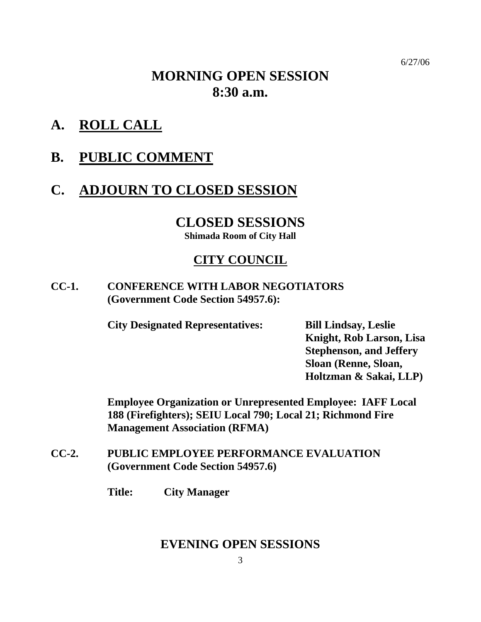6/27/06

# **MORNING OPEN SESSION 8:30 a.m.**

- **A. ROLL CALL**
- **B. PUBLIC COMMENT**

# **C. ADJOURN TO CLOSED SESSION**

# **CLOSED SESSIONS**

**Shimada Room of City Hall** 

# **CITY COUNCIL**

**CC-1. CONFERENCE WITH LABOR NEGOTIATORS (Government Code Section 54957.6):** 

**City Designated Representatives: Bill Lindsay, Leslie** 

**Knight, Rob Larson, Lisa Stephenson, and Jeffery Sloan (Renne, Sloan, Holtzman & Sakai, LLP)** 

**Employee Organization or Unrepresented Employee: IAFF Local 188 (Firefighters); SEIU Local 790; Local 21; Richmond Fire Management Association (RFMA)** 

**CC-2. PUBLIC EMPLOYEE PERFORMANCE EVALUATION (Government Code Section 54957.6)** 

 **Title: City Manager** 

# **EVENING OPEN SESSIONS**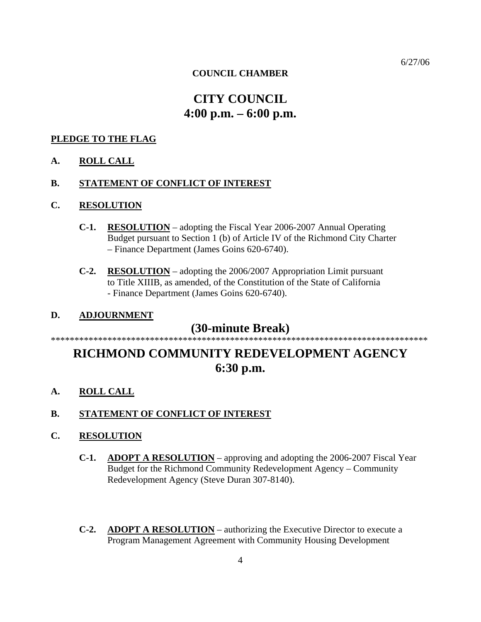#### 6/27/06

#### **COUNCIL CHAMBER**

# **CITY COUNCIL 4:00 p.m. – 6:00 p.m.**

#### **PLEDGE TO THE FLAG**

#### **A. ROLL CALL**

#### **B. STATEMENT OF CONFLICT OF INTEREST**

#### **C. RESOLUTION**

- **C-1. RESOLUTION** adopting the Fiscal Year 2006-2007 Annual Operating Budget pursuant to Section 1 (b) of Article IV of the Richmond City Charter – Finance Department (James Goins 620-6740).
- **C-2. RESOLUTION** adopting the 2006/2007 Appropriation Limit pursuant to Title XIIIB, as amended, of the Constitution of the State of California - Finance Department (James Goins 620-6740).

### **D. ADJOURNMENT**

#### **(30-minute Break)**  \*\*\*\*\*\*\*\*\*\*\*\*\*\*\*\*\*\*\*\*\*\*\*\*\*\*\*\*\*\*\*\*\*\*\*\*\*\*\*\*\*\*\*\*\*\*\*\*\*\*\*\*\*\*\*\*\*\*\*\*\*\*\*\*\*\*\*\*\*\*\*\*\*\*\*\*\*\*\*\*

# **RICHMOND COMMUNITY REDEVELOPMENT AGENCY 6:30 p.m.**

**A. ROLL CALL**

#### **B. STATEMENT OF CONFLICT OF INTEREST**

#### **C. RESOLUTION**

- **C-1. ADOPT A RESOLUTION** approving and adopting the 2006-2007 Fiscal Year Budget for the Richmond Community Redevelopment Agency – Community Redevelopment Agency (Steve Duran 307-8140).
- **C-2. ADOPT A RESOLUTION** authorizing the Executive Director to execute a Program Management Agreement with Community Housing Development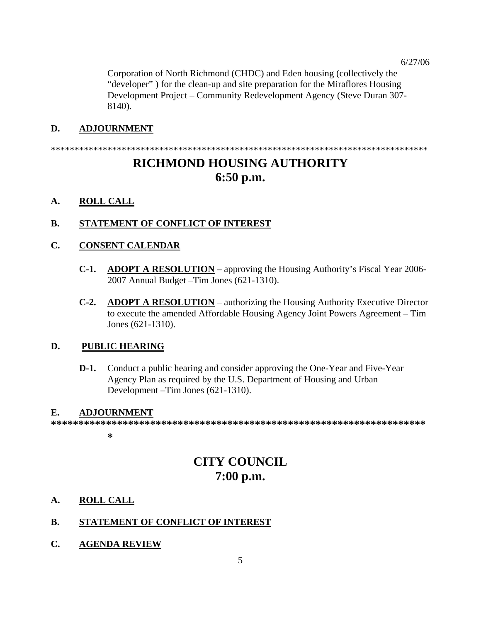Corporation of North Richmond (CHDC) and Eden housing (collectively the "developer" ) for the clean-up and site preparation for the Miraflores Housing Development Project – Community Redevelopment Agency (Steve Duran 307- 8140).

### **D. ADJOURNMENT**

\*\*\*\*\*\*\*\*\*\*\*\*\*\*\*\*\*\*\*\*\*\*\*\*\*\*\*\*\*\*\*\*\*\*\*\*\*\*\*\*\*\*\*\*\*\*\*\*\*\*\*\*\*\*\*\*\*\*\*\*\*\*\*\*\*\*\*\*\*\*\*\*\*\*\*\*\*\*\*\*

# **RICHMOND HOUSING AUTHORITY 6:50 p.m.**

### **A. ROLL CALL**

### **B. STATEMENT OF CONFLICT OF INTEREST**

### **C. CONSENT CALENDAR**

- **C-1. ADOPT A RESOLUTION** approving the Housing Authority's Fiscal Year 2006- 2007 Annual Budget –Tim Jones (621-1310).
- **C-2. ADOPT A RESOLUTION** authorizing the Housing Authority Executive Director to execute the amended Affordable Housing Agency Joint Powers Agreement – Tim Jones (621-1310).

### **D. PUBLIC HEARING**

**D-1.** Conduct a public hearing and consider approving the One-Year and Five-Year Agency Plan as required by the U.S. Department of Housing and Urban Development –Tim Jones (621-1310).

### **E. ADJOURNMENT**

**\*\*\*\*\*\*\*\*\*\*\*\*\*\*\*\*\*\*\*\*\*\*\*\*\*\*\*\*\*\*\*\*\*\*\*\*\*\*\*\*\*\*\*\*\*\*\*\*\*\*\*\*\*\*\*\*\*\*\*\*\*\*\*\*\*\*\*\***

**\*** 

# **CITY COUNCIL 7:00 p.m.**

### **A. ROLL CALL**

## **B. STATEMENT OF CONFLICT OF INTEREST**

**C. AGENDA REVIEW**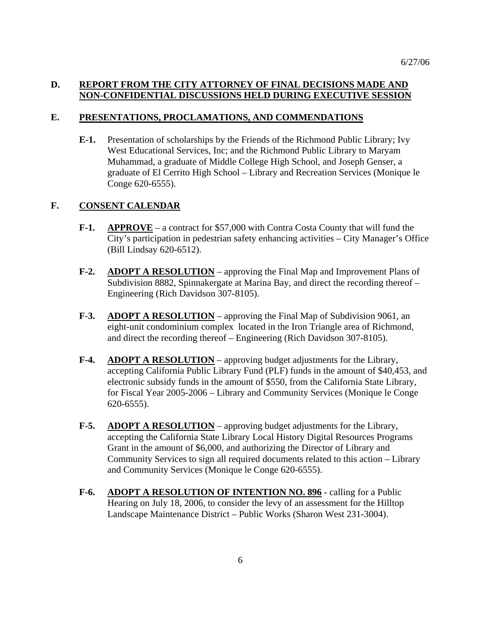## **D. REPORT FROM THE CITY ATTORNEY OF FINAL DECISIONS MADE AND NON-CONFIDENTIAL DISCUSSIONS HELD DURING EXECUTIVE SESSION**

### **E. PRESENTATIONS, PROCLAMATIONS, AND COMMENDATIONS**

**E-1.** Presentation of scholarships by the Friends of the Richmond Public Library; Ivy West Educational Services, Inc; and the Richmond Public Library to Maryam Muhammad, a graduate of Middle College High School, and Joseph Genser, a graduate of El Cerrito High School – Library and Recreation Services (Monique le Conge 620-6555).

## **F. CONSENT CALENDAR**

- **F-1. APPROVE** a contract for \$57,000 with Contra Costa County that will fund the City's participation in pedestrian safety enhancing activities – City Manager's Office (Bill Lindsay 620-6512).
- **F-2. ADOPT A RESOLUTION** approving the Final Map and Improvement Plans of Subdivision 8882, Spinnakergate at Marina Bay, and direct the recording thereof – Engineering (Rich Davidson 307-8105).
- **F**-**3. ADOPT A RESOLUTION** approving the Final Map of Subdivision 9061, an eight-unit condominium complex located in the Iron Triangle area of Richmond, and direct the recording thereof – Engineering (Rich Davidson 307-8105).
- **F-4. ADOPT A RESOLUTION** approving budget adjustments for the Library, accepting California Public Library Fund (PLF) funds in the amount of \$40,453, and electronic subsidy funds in the amount of \$550, from the California State Library, for Fiscal Year 2005-2006 – Library and Community Services (Monique le Conge 620-6555).
- **F-5. ADOPT A RESOLUTION** approving budget adjustments for the Library, accepting the California State Library Local History Digital Resources Programs Grant in the amount of \$6,000, and authorizing the Director of Library and Community Services to sign all required documents related to this action – Library and Community Services (Monique le Conge 620-6555).
- **F-6. ADOPT A RESOLUTION OF INTENTION NO. 896** calling for a Public Hearing on July 18, 2006, to consider the levy of an assessment for the Hilltop Landscape Maintenance District – Public Works (Sharon West 231-3004).